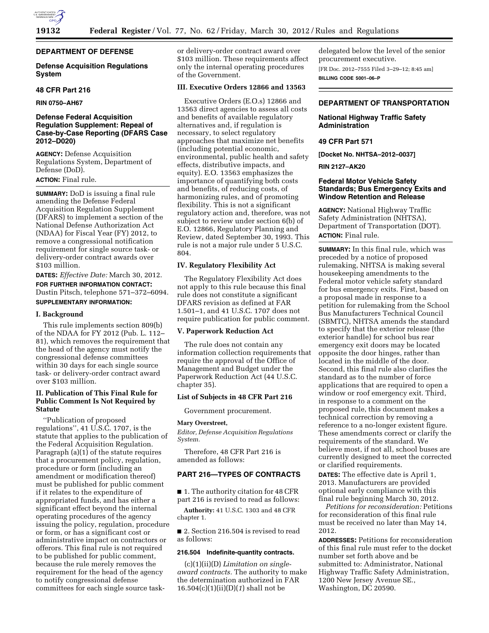

# **DEPARTMENT OF DEFENSE**

## **Defense Acquisition Regulations System**

### **48 CFR Part 216**

**RIN 0750–AH67** 

# **Defense Federal Acquisition Regulation Supplement: Repeal of Case-by-Case Reporting (DFARS Case 2012–D020)**

**AGENCY:** Defense Acquisition Regulations System, Department of Defense (DoD).

# **ACTION:** Final rule.

**SUMMARY:** DoD is issuing a final rule amending the Defense Federal Acquisition Regulation Supplement (DFARS) to implement a section of the National Defense Authorization Act (NDAA) for Fiscal Year (FY) 2012, to remove a congressional notification requirement for single source task- or delivery-order contract awards over \$103 million.

# **DATES:** *Effective Date:* March 30, 2012. **FOR FURTHER INFORMATION CONTACT:**  Dustin Pitsch, telephone 571–372–6094. **SUPPLEMENTARY INFORMATION:**

#### **I. Background**

This rule implements section 809(b) of the NDAA for FY 2012 (Pub. L. 112– 81), which removes the requirement that the head of the agency must notify the congressional defense committees within 30 days for each single source task- or delivery-order contract award over \$103 million.

# **II. Publication of This Final Rule for Public Comment Is Not Required by Statute**

''Publication of proposed regulations'', 41 U.S.C. 1707, is the statute that applies to the publication of the Federal Acquisition Regulation. Paragraph (a)(1) of the statute requires that a procurement policy, regulation, procedure or form (including an amendment or modification thereof) must be published for public comment if it relates to the expenditure of appropriated funds, and has either a significant effect beyond the internal operating procedures of the agency issuing the policy, regulation, procedure or form, or has a significant cost or administrative impact on contractors or offerors. This final rule is not required to be published for public comment, because the rule merely removes the requirement for the head of the agency to notify congressional defense committees for each single source taskor delivery-order contract award over \$103 million. These requirements affect only the internal operating procedures of the Government.

# **III. Executive Orders 12866 and 13563**

Executive Orders (E.O.s) 12866 and 13563 direct agencies to assess all costs and benefits of available regulatory alternatives and, if regulation is necessary, to select regulatory approaches that maximize net benefits (including potential economic, environmental, public health and safety effects, distributive impacts, and equity). E.O. 13563 emphasizes the importance of quantifying both costs and benefits, of reducing costs, of harmonizing rules, and of promoting flexibility. This is not a significant regulatory action and, therefore, was not subject to review under section 6(b) of E.O. 12866, Regulatory Planning and Review, dated September 30, 1993. This rule is not a major rule under 5 U.S.C. 804.

## **IV. Regulatory Flexibility Act**

The Regulatory Flexibility Act does not apply to this rule because this final rule does not constitute a significant DFARS revision as defined at FAR 1.501–1, and 41 U.S.C. 1707 does not require publication for public comment.

### **V. Paperwork Reduction Act**

The rule does not contain any information collection requirements that require the approval of the Office of Management and Budget under the Paperwork Reduction Act (44 U.S.C. chapter 35).

### **List of Subjects in 48 CFR Part 216**

Government procurement.

#### **Mary Overstreet,**

*Editor, Defense Acquisition Regulations System.* 

Therefore, 48 CFR Part 216 is amended as follows:

# **PART 216—TYPES OF CONTRACTS**

■ 1. The authority citation for 48 CFR part 216 is revised to read as follows:

**Authority:** 41 U.S.C. 1303 and 48 CFR chapter 1.

■ 2. Section 216.504 is revised to read as follows:

### **216.504 Indefinite-quantity contracts.**

(c)(1)(ii)(D) *Limitation on singleaward contracts.* The authority to make the determination authorized in FAR 16.504(c)(1)(ii)(D)(*1*) shall not be

delegated below the level of the senior procurement executive. [FR Doc. 2012–7555 Filed 3–29–12; 8:45 am] **BILLING CODE 5001–06–P** 

### **DEPARTMENT OF TRANSPORTATION**

# **National Highway Traffic Safety Administration**

## **49 CFR Part 571**

**[Docket No. NHTSA–2012–0037]** 

### **RIN 2127–AK20**

## **Federal Motor Vehicle Safety Standards; Bus Emergency Exits and Window Retention and Release**

**AGENCY:** National Highway Traffic Safety Administration (NHTSA), Department of Transportation (DOT). **ACTION:** Final rule.

**SUMMARY:** In this final rule, which was preceded by a notice of proposed rulemaking, NHTSA is making several housekeeping amendments to the Federal motor vehicle safety standard for bus emergency exits. First, based on a proposal made in response to a petition for rulemaking from the School Bus Manufacturers Technical Council (SBMTC), NHTSA amends the standard to specify that the exterior release (the exterior handle) for school bus rear emergency exit doors may be located opposite the door hinges, rather than located in the middle of the door. Second, this final rule also clarifies the standard as to the number of force applications that are required to open a window or roof emergency exit. Third, in response to a comment on the proposed rule, this document makes a technical correction by removing a reference to a no-longer existent figure. These amendments correct or clarify the requirements of the standard. We believe most, if not all, school buses are currently designed to meet the corrected or clarified requirements.

**DATES:** The effective date is April 1, 2013. Manufacturers are provided optional early compliance with this final rule beginning March 30, 2012.

*Petitions for reconsideration:* Petitions for reconsideration of this final rule must be received no later than May 14, 2012.

**ADDRESSES:** Petitions for reconsideration of this final rule must refer to the docket number set forth above and be submitted to: Administrator, National Highway Traffic Safety Administration, 1200 New Jersey Avenue SE., Washington, DC 20590.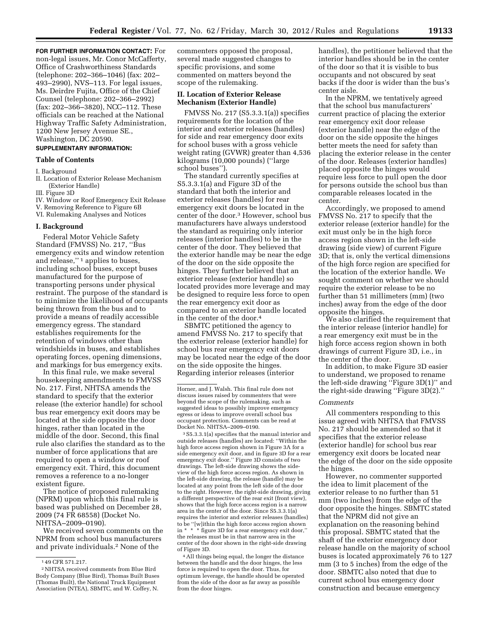**FOR FURTHER INFORMATION CONTACT:** For non-legal issues, Mr. Conor McCafferty, Office of Crashworthiness Standards (telephone: 202–366–1046) (fax: 202– 493–2990), NVS–113. For legal issues, Ms. Deirdre Fujita, Office of the Chief Counsel (telephone: 202–366–2992) (fax: 202–366–3820), NCC–112. These officials can be reached at the National Highway Traffic Safety Administration, 1200 New Jersey Avenue SE., Washington, DC 20590.

# **SUPPLEMENTARY INFORMATION:**

# **Table of Contents**

#### I. Background

II. Location of Exterior Release Mechanism (Exterior Handle)

III. Figure 3D

IV. Window or Roof Emergency Exit Release

- V. Removing Reference to Figure 6B
- VI. Rulemaking Analyses and Notices

### **I. Background**

Federal Motor Vehicle Safety Standard (FMVSS) No. 217, ''Bus emergency exits and window retention and release,'' 1 applies to buses, including school buses, except buses manufactured for the purpose of transporting persons under physical restraint. The purpose of the standard is to minimize the likelihood of occupants being thrown from the bus and to provide a means of readily accessible emergency egress. The standard establishes requirements for the retention of windows other than windshields in buses, and establishes operating forces, opening dimensions, and markings for bus emergency exits.

In this final rule, we make several housekeeping amendments to FMVSS No. 217. First, NHTSA amends the standard to specify that the exterior release (the exterior handle) for school bus rear emergency exit doors may be located at the side opposite the door hinges, rather than located in the middle of the door. Second, this final rule also clarifies the standard as to the number of force applications that are required to open a window or roof emergency exit. Third, this document removes a reference to a no-longer existent figure.

The notice of proposed rulemaking (NPRM) upon which this final rule is based was published on December 28, 2009 (74 FR 68558) (Docket No. NHTSA–2009–0190).

We received seven comments on the NPRM from school bus manufacturers and private individuals.2 None of the

commenters opposed the proposal, several made suggested changes to specific provisions, and some commented on matters beyond the scope of the rulemaking.

### **II. Location of Exterior Release Mechanism (Exterior Handle)**

FMVSS No. 217 (S5.3.3.1(a)) specifies requirements for the location of the interior and exterior releases (handles) for side and rear emergency door exits for school buses with a gross vehicle weight rating (GVWR) greater than 4,536 kilograms (10,000 pounds) (''large school buses'').

The standard currently specifies at S5.3.3.1(a) and Figure 3D of the standard that both the interior and exterior releases (handles) for rear emergency exit doors be located in the center of the door.3 However, school bus manufacturers have always understood the standard as requiring only interior releases (interior handles) to be in the center of the door. They believed that the exterior handle may be near the edge of the door on the side opposite the hinges. They further believed that an exterior release (exterior handle) so located provides more leverage and may be designed to require less force to open the rear emergency exit door as compared to an exterior handle located in the center of the door.4

SBMTC petitioned the agency to amend FMVSS No. 217 to specify that the exterior release (exterior handle) for school bus rear emergency exit doors may be located near the edge of the door on the side opposite the hinges. Regarding interior releases (interior

3S5.3.3.1(a) specifies that the manual interior and outside releases (handles) are located: ''Within the high force access region shown in Figure 3A for a side emergency exit door, and in figure 3D for a rear emergency exit door.'' Figure 3D consists of two drawings. The left-side drawing shows the sideview of the high force access region. As shown in the left-side drawing, the release (handle) may be located at any point from the left side of the door to the right. However, the right-side drawing, giving a different perspective of the rear exit (front view), shows that the high force access region is a narrow area in the center of the door. Since S5.3.3.1(a) requires the interior and exterior releases (handles) to be ''[w]ithin the high force access region shown in \* \* \* figure 3D for a rear emergency exit door,'' the releases must be in that narrow area in the center of the door shown in the right-side drawing of Figure 3D.

4All things being equal, the longer the distance between the handle and the door hinges, the less force is required to open the door. Thus, for optimum leverage, the handle should be operated from the side of the door as far away as possible from the door hinges.

handles), the petitioner believed that the interior handles should be in the center of the door so that it is visible to bus occupants and not obscured by seat backs if the door is wider than the bus's center aisle.

In the NPRM, we tentatively agreed that the school bus manufacturers' current practice of placing the exterior rear emergency exit door release (exterior handle) near the edge of the door on the side opposite the hinges better meets the need for safety than placing the exterior release in the center of the door. Releases (exterior handles) placed opposite the hinges would require less force to pull open the door for persons outside the school bus than comparable releases located in the center.

Accordingly, we proposed to amend FMVSS No. 217 to specify that the exterior release (exterior handle) for the exit must only be in the high force access region shown in the left-side drawing (side view) of current Figure 3D; that is, only the vertical dimensions of the high force region are specified for the location of the exterior handle. We sought comment on whether we should require the exterior release to be no further than 51 millimeters (mm) (two inches) away from the edge of the door opposite the hinges.

We also clarified the requirement that the interior release (interior handle) for a rear emergency exit must be in the high force access region shown in both drawings of current Figure 3D, i.e., in the center of the door.

In addition, to make Figure 3D easier to understand, we proposed to rename the left-side drawing ''Figure 3D(1)'' and the right-side drawing ''Figure 3D(2).''

### *Comments*

All commenters responding to this issue agreed with NHTSA that FMVSS No. 217 should be amended so that it specifies that the exterior release (exterior handle) for school bus rear emergency exit doors be located near the edge of the door on the side opposite the hinges.

However, no commenter supported the idea to limit placement of the exterior release to no further than 51 mm (two inches) from the edge of the door opposite the hinges. SBMTC stated that the NPRM did not give an explanation on the reasoning behind this proposal. SBMTC stated that the shaft of the exterior emergency door release handle on the majority of school buses is located approximately 76 to 127 mm (3 to 5 inches) from the edge of the door. SBMTC also noted that due to current school bus emergency door construction and because emergency

<sup>1</sup> 49 CFR 571.217.

<sup>2</sup>NHTSA received comments from Blue Bird Body Company (Blue Bird), Thomas Built Buses (Thomas Built), the National Truck Equipment Association (NTEA), SBMTC, and W. Coffey, N.

Horner, and J. Walsh. This final rule does not discuss issues raised by commenters that were beyond the scope of the rulemaking, such as suggested ideas to possibly improve emergency egress or ideas to improve overall school bus occupant protection. Comments can be read at Docket No. NHTSA–2009–0190.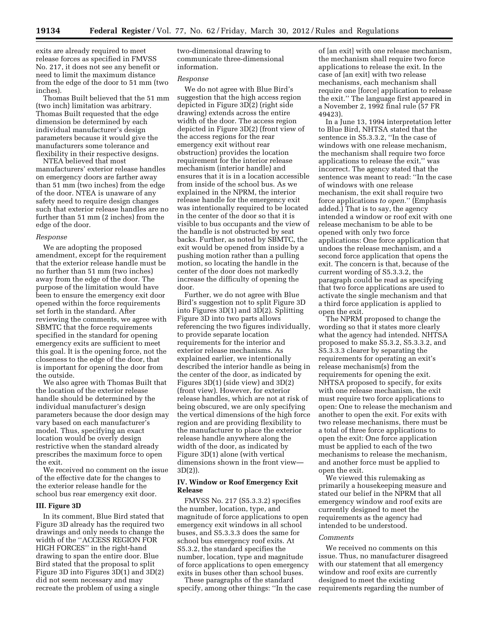exits are already required to meet release forces as specified in FMVSS No. 217, it does not see any benefit or need to limit the maximum distance from the edge of the door to 51 mm (two inches).

Thomas Built believed that the 51 mm (two inch) limitation was arbitrary. Thomas Built requested that the edge dimension be determined by each individual manufacturer's design parameters because it would give the manufacturers some tolerance and flexibility in their respective designs.

NTEA believed that most manufacturers' exterior release handles on emergency doors are farther away than 51 mm (two inches) from the edge of the door. NTEA is unaware of any safety need to require design changes such that exterior release handles are no further than 51 mm (2 inches) from the edge of the door.

#### *Response*

We are adopting the proposed amendment, except for the requirement that the exterior release handle must be no further than 51 mm (two inches) away from the edge of the door. The purpose of the limitation would have been to ensure the emergency exit door opened within the force requirements set forth in the standard. After reviewing the comments, we agree with SBMTC that the force requirements specified in the standard for opening emergency exits are sufficient to meet this goal. It is the opening force, not the closeness to the edge of the door, that is important for opening the door from the outside.

We also agree with Thomas Built that the location of the exterior release handle should be determined by the individual manufacturer's design parameters because the door design may vary based on each manufacturer's model. Thus, specifying an exact location would be overly design restrictive when the standard already prescribes the maximum force to open the exit.

We received no comment on the issue of the effective date for the changes to the exterior release handle for the school bus rear emergency exit door.

## **III. Figure 3D**

In its comment, Blue Bird stated that Figure 3D already has the required two drawings and only needs to change the width of the ''ACCESS REGION FOR HIGH FORCES'' in the right-hand drawing to span the entire door. Blue Bird stated that the proposal to split Figure 3D into Figures 3D(1) and 3D(2) did not seem necessary and may recreate the problem of using a single

two-dimensional drawing to communicate three-dimensional information.

## *Response*

We do not agree with Blue Bird's suggestion that the high access region depicted in Figure 3D(2) (right side drawing) extends across the entire width of the door. The access region depicted in Figure 3D(2) (front view of the access regions for the rear emergency exit without rear obstruction) provides the location requirement for the interior release mechanism (interior handle) and ensures that it is in a location accessible from inside of the school bus. As we explained in the NPRM, the interior release handle for the emergency exit was intentionally required to be located in the center of the door so that it is visible to bus occupants and the view of the handle is not obstructed by seat backs. Further, as noted by SBMTC, the exit would be opened from inside by a pushing motion rather than a pulling motion, so locating the handle in the center of the door does not markedly increase the difficulty of opening the door.

Further, we do not agree with Blue Bird's suggestion not to split Figure 3D into Figures 3D(1) and 3D(2). Splitting Figure 3D into two parts allows referencing the two figures individually, to provide separate location requirements for the interior and exterior release mechanisms. As explained earlier, we intentionally described the interior handle as being in the center of the door, as indicated by Figures 3D(1) (side view) and 3D(2) (front view). However, for exterior release handles, which are not at risk of being obscured, we are only specifying the vertical dimensions of the high force region and are providing flexibility to the manufacturer to place the exterior release handle anywhere along the width of the door, as indicated by Figure 3D(1) alone (with vertical dimensions shown in the front view— 3D(2)).

## **IV. Window or Roof Emergency Exit Release**

FMVSS No. 217 (S5.3.3.2) specifies the number, location, type, and magnitude of force applications to open emergency exit windows in all school buses, and S5.3.3.3 does the same for school bus emergency roof exits. At S5.3.2, the standard specifies the number, location, type and magnitude of force applications to open emergency exits in buses other than school buses.

These paragraphs of the standard specify, among other things: ''In the case

of [an exit] with one release mechanism, the mechanism shall require two force applications to release the exit. In the case of [an exit] with two release mechanisms, each mechanism shall require one [force] application to release the exit.'' The language first appeared in a November 2, 1992 final rule (57 FR 49423).

In a June 13, 1994 interpretation letter to Blue Bird, NHTSA stated that the sentence in S5.3.3.2, ''In the case of windows with one release mechanism, the mechanism shall require two force applications to release the exit,'' was incorrect. The agency stated that the sentence was meant to read: ''In the case of windows with one release mechanism, the exit shall require two force applications *to open.*'' (Emphasis added.) That is to say, the agency intended a window or roof exit with one release mechanism to be able to be opened with only two force applications: One force application that undoes the release mechanism, and a second force application that opens the exit. The concern is that, because of the current wording of S5.3.3.2, the paragraph could be read as specifying that two force applications are used to activate the single mechanism and that a third force application is applied to open the exit.

The NPRM proposed to change the wording so that it states more clearly what the agency had intended. NHTSA proposed to make S5.3.2, S5.3.3.2, and S5.3.3.3 clearer by separating the requirements for operating an exit's release mechanism(s) from the requirements for opening the exit. NHTSA proposed to specify, for exits with one release mechanism, the exit must require two force applications to open: One to release the mechanism and another to open the exit. For exits with two release mechanisms, there must be a total of three force applications to open the exit: One force application must be applied to each of the two mechanisms to release the mechanism, and another force must be applied to open the exit.

We viewed this rulemaking as primarily a housekeeping measure and stated our belief in the NPRM that all emergency window and roof exits are currently designed to meet the requirements as the agency had intended to be understood.

#### *Comments*

We received no comments on this issue. Thus, no manufacturer disagreed with our statement that all emergency window and roof exits are currently designed to meet the existing requirements regarding the number of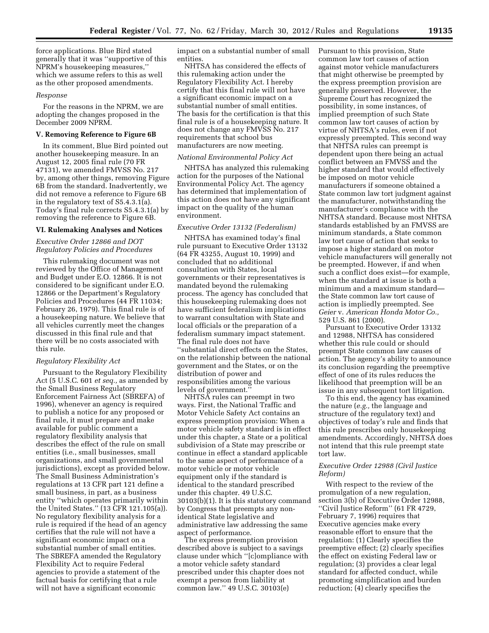force applications. Blue Bird stated generally that it was ''supportive of this NPRM's housekeeping measures,'' which we assume refers to this as well as the other proposed amendments.

#### *Response*

For the reasons in the NPRM, we are adopting the changes proposed in the December 2009 NPRM.

### **V. Removing Reference to Figure 6B**

In its comment, Blue Bird pointed out another housekeeping measure. In an August 12, 2005 final rule (70 FR 47131), we amended FMVSS No. 217 by, among other things, removing Figure 6B from the standard. Inadvertently, we did not remove a reference to Figure 6B in the regulatory text of S5.4.3.1(a). Today's final rule corrects S5.4.3.1(a) by removing the reference to Figure 6B.

#### **VI. Rulemaking Analyses and Notices**

## *Executive Order 12866 and DOT Regulatory Policies and Procedures*

This rulemaking document was not reviewed by the Office of Management and Budget under E.O. 12866. It is not considered to be significant under E.O. 12866 or the Department's Regulatory Policies and Procedures (44 FR 11034; February 26, 1979). This final rule is of a housekeeping nature. We believe that all vehicles currently meet the changes discussed in this final rule and that there will be no costs associated with this rule.

## *Regulatory Flexibility Act*

Pursuant to the Regulatory Flexibility Act (5 U.S.C. 601 *et seq.,* as amended by the Small Business Regulatory Enforcement Fairness Act (SBREFA) of 1996), whenever an agency is required to publish a notice for any proposed or final rule, it must prepare and make available for public comment a regulatory flexibility analysis that describes the effect of the rule on small entities (i.e., small businesses, small organizations, and small governmental jurisdictions), except as provided below. The Small Business Administration's regulations at 13 CFR part 121 define a small business, in part, as a business entity ''which operates primarily within the United States.'' (13 CFR 121.105(a)). No regulatory flexibility analysis for a rule is required if the head of an agency certifies that the rule will not have a significant economic impact on a substantial number of small entities. The SBREFA amended the Regulatory Flexibility Act to require Federal agencies to provide a statement of the factual basis for certifying that a rule will not have a significant economic

impact on a substantial number of small entities.

NHTSA has considered the effects of this rulemaking action under the Regulatory Flexibility Act. I hereby certify that this final rule will not have a significant economic impact on a substantial number of small entities. The basis for the certification is that this final rule is of a housekeeping nature. It does not change any FMVSS No. 217 requirements that school bus manufacturers are now meeting.

### *National Environmental Policy Act*

NHTSA has analyzed this rulemaking action for the purposes of the National Environmental Policy Act. The agency has determined that implementation of this action does not have any significant impact on the quality of the human environment.

## *Executive Order 13132 (Federalism)*

NHTSA has examined today's final rule pursuant to Executive Order 13132 (64 FR 43255, August 10, 1999) and concluded that no additional consultation with States, local governments or their representatives is mandated beyond the rulemaking process. The agency has concluded that this housekeeping rulemaking does not have sufficient federalism implications to warrant consultation with State and local officials or the preparation of a federalism summary impact statement. The final rule does not have ''substantial direct effects on the States, on the relationship between the national government and the States, or on the distribution of power and responsibilities among the various levels of government.''

NHTSA rules can preempt in two ways. First, the National Traffic and Motor Vehicle Safety Act contains an express preemption provision: When a motor vehicle safety standard is in effect under this chapter, a State or a political subdivision of a State may prescribe or continue in effect a standard applicable to the same aspect of performance of a motor vehicle or motor vehicle equipment only if the standard is identical to the standard prescribed under this chapter. 49 U.S.C. 30103(b)(1). It is this statutory command by Congress that preempts any nonidentical State legislative and administrative law addressing the same aspect of performance.

The express preemption provision described above is subject to a savings clause under which ''[c]ompliance with a motor vehicle safety standard prescribed under this chapter does not exempt a person from liability at common law.'' 49 U.S.C. 30103(e)

Pursuant to this provision, State common law tort causes of action against motor vehicle manufacturers that might otherwise be preempted by the express preemption provision are generally preserved. However, the Supreme Court has recognized the possibility, in some instances, of implied preemption of such State common law tort causes of action by virtue of NHTSA's rules, even if not expressly preempted. This second way that NHTSA rules can preempt is dependent upon there being an actual conflict between an FMVSS and the higher standard that would effectively be imposed on motor vehicle manufacturers if someone obtained a State common law tort judgment against the manufacturer, notwithstanding the manufacturer's compliance with the NHTSA standard. Because most NHTSA standards established by an FMVSS are minimum standards, a State common law tort cause of action that seeks to impose a higher standard on motor vehicle manufacturers will generally not be preempted. However, if and when such a conflict does exist—for example, when the standard at issue is both a minimum and a maximum standard the State common law tort cause of action is impliedly preempted. See *Geier* v. *American Honda Motor Co.,*  529 U.S. 861 (2000).

Pursuant to Executive Order 13132 and 12988, NHTSA has considered whether this rule could or should preempt State common law causes of action. The agency's ability to announce its conclusion regarding the preemptive effect of one of its rules reduces the likelihood that preemption will be an issue in any subsequent tort litigation.

To this end, the agency has examined the nature (*e.g.,* the language and structure of the regulatory text) and objectives of today's rule and finds that this rule prescribes only housekeeping amendments. Accordingly, NHTSA does not intend that this rule preempt state tort law.

## *Executive Order 12988 (Civil Justice Reform)*

With respect to the review of the promulgation of a new regulation, section 3(b) of Executive Order 12988, ''Civil Justice Reform'' (61 FR 4729, February 7, 1996) requires that Executive agencies make every reasonable effort to ensure that the regulation: (1) Clearly specifies the preemptive effect; (2) clearly specifies the effect on existing Federal law or regulation; (3) provides a clear legal standard for affected conduct, while promoting simplification and burden reduction; (4) clearly specifies the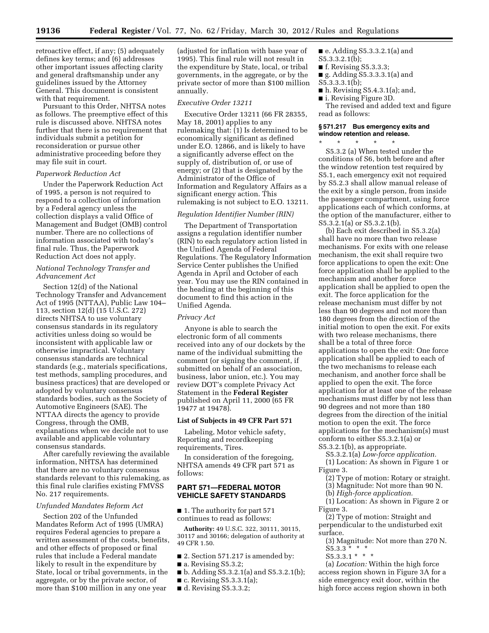retroactive effect, if any; (5) adequately defines key terms; and (6) addresses other important issues affecting clarity and general draftsmanship under any guidelines issued by the Attorney General. This document is consistent with that requirement.

Pursuant to this Order, NHTSA notes as follows. The preemptive effect of this rule is discussed above. NHTSA notes further that there is no requirement that individuals submit a petition for reconsideration or pursue other administrative proceeding before they may file suit in court.

### *Paperwork Reduction Act*

Under the Paperwork Reduction Act of 1995, a person is not required to respond to a collection of information by a Federal agency unless the collection displays a valid Office of Management and Budget (OMB) control number. There are no collections of information associated with today's final rule. Thus, the Paperwork Reduction Act does not apply.

## *National Technology Transfer and Advancement Act*

Section 12(d) of the National Technology Transfer and Advancement Act of 1995 (NTTAA), Public Law 104– 113, section 12(d) (15 U.S.C. 272) directs NHTSA to use voluntary consensus standards in its regulatory activities unless doing so would be inconsistent with applicable law or otherwise impractical. Voluntary consensus standards are technical standards (e.g., materials specifications, test methods, sampling procedures, and business practices) that are developed or adopted by voluntary consensus standards bodies, such as the Society of Automotive Engineers (SAE). The NTTAA directs the agency to provide Congress, through the OMB, explanations when we decide not to use available and applicable voluntary consensus standards.

After carefully reviewing the available information, NHTSA has determined that there are no voluntary consensus standards relevant to this rulemaking, as this final rule clarifies existing FMVSS No. 217 requirements.

## *Unfunded Mandates Reform Act*

Section 202 of the Unfunded Mandates Reform Act of 1995 (UMRA) requires Federal agencies to prepare a written assessment of the costs, benefits, and other effects of proposed or final rules that include a Federal mandate likely to result in the expenditure by State, local or tribal governments, in the aggregate, or by the private sector, of more than \$100 million in any one year

(adjusted for inflation with base year of 1995). This final rule will not result in the expenditure by State, local, or tribal governments, in the aggregate, or by the private sector of more than \$100 million annually.

#### *Executive Order 13211*

Executive Order 13211 (66 FR 28355, May 18, 2001) applies to any rulemaking that: (1) Is determined to be economically significant as defined under E.O. 12866, and is likely to have a significantly adverse effect on the supply of, distribution of, or use of energy; or (2) that is designated by the Administrator of the Office of Information and Regulatory Affairs as a significant energy action. This rulemaking is not subject to E.O. 13211.

# *Regulation Identifier Number (RIN)*

The Department of Transportation assigns a regulation identifier number (RIN) to each regulatory action listed in the Unified Agenda of Federal Regulations. The Regulatory Information Service Center publishes the Unified Agenda in April and October of each year. You may use the RIN contained in the heading at the beginning of this document to find this action in the Unified Agenda.

#### *Privacy Act*

Anyone is able to search the electronic form of all comments received into any of our dockets by the name of the individual submitting the comment (or signing the comment, if submitted on behalf of an association, business, labor union, etc.). You may review DOT's complete Privacy Act Statement in the **Federal Register**  published on April 11, 2000 (65 FR 19477 at 19478).

## **List of Subjects in 49 CFR Part 571**

Labeling, Motor vehicle safety, Reporting and recordkeeping requirements, Tires.

In consideration of the foregoing, NHTSA amends 49 CFR part 571 as follows:

## **PART 571—FEDERAL MOTOR VEHICLE SAFETY STANDARDS**

■ 1. The authority for part 571 continues to read as follows:

**Authority:** 49 U.S.C. 322, 30111, 30115, 30117 and 30166; delegation of authority at 49 CFR 1.50.

- 2. Section 571.217 is amended by:
- a. Revising S5.3.2;
- b. Adding S5.3.2.1(a) and S5.3.2.1(b);
- $\blacksquare$  c. Revising S5.3.3.1(a);
- d. Revising S5.3.3.2;

■ e. Adding S5.3.3.2.1(a) and

- S5.3.3.2.1(b);
- f. Revising S5.3.3.3;
- g. Adding S5.3.3.3.1(a) and S5.3.3.3.1(b);
- $\blacksquare$  h. Revising S5.4.3.1(a); and,
- i. Revising Figure 3D.

The revised and added text and figure read as follows:

## **§ 571.217 Bus emergency exits and window retention and release.**

\* \* \* \* \* S5.3.2 (a) When tested under the conditions of S6, both before and after the window retention test required by S5.1, each emergency exit not required by S5.2.3 shall allow manual release of the exit by a single person, from inside the passenger compartment, using force applications each of which conforms, at the option of the manufacturer, either to S5.3.2.1(a) or S5.3.2.1(b).

(b) Each exit described in S5.3.2(a) shall have no more than two release mechanisms. For exits with one release mechanism, the exit shall require two force applications to open the exit: One force application shall be applied to the mechanism and another force application shall be applied to open the exit. The force application for the release mechanism must differ by not less than 90 degrees and not more than 180 degrees from the direction of the initial motion to open the exit. For exits with two release mechanisms, there shall be a total of three force applications to open the exit: One force application shall be applied to each of the two mechanisms to release each mechanism, and another force shall be applied to open the exit. The force application for at least one of the release mechanisms must differ by not less than 90 degrees and not more than 180 degrees from the direction of the initial motion to open the exit. The force applications for the mechanism(s) must conform to either S5.3.2.1(a) or S5.3.2.1(b), as appropriate.

S5.3.2.1(a) *Low-force application.* 

(1) Location: As shown in Figure 1 or Figure 3.

- (2) Type of motion: Rotary or straight.
- (3) Magnitude: Not more than 90 N.
- (b) *High-force application.*
- (1) Location: As shown in Figure 2 or Figure 3.

(2) Type of motion: Straight and perpendicular to the undisturbed exit surface.

(3) Magnitude: Not more than 270 N.  $S5.3.3$  \* \*

 $S5.3.3.1$  \* \* \*

(a) *Location:* Within the high force access region shown in Figure 3A for a side emergency exit door, within the high force access region shown in both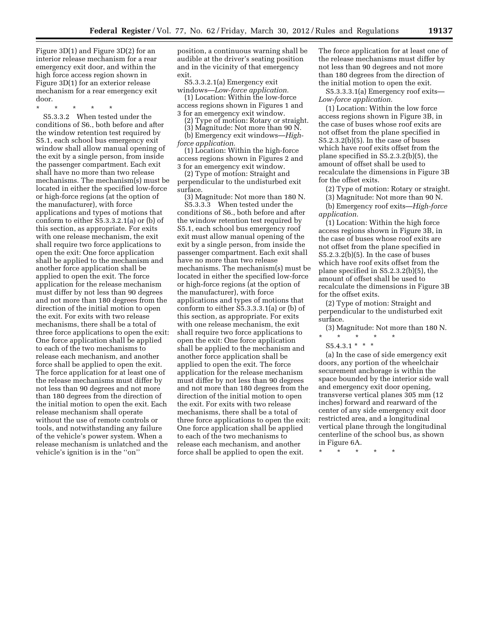Figure 3D(1) and Figure 3D(2) for an interior release mechanism for a rear emergency exit door, and within the high force access region shown in Figure 3D(1) for an exterior release mechanism for a rear emergency exit door.

\* \* \* \* \*

S5.3.3.2 When tested under the conditions of S6., both before and after the window retention test required by S5.1, each school bus emergency exit window shall allow manual opening of the exit by a single person, from inside the passenger compartment. Each exit shall have no more than two release mechanisms. The mechanism(s) must be located in either the specified low-force or high-force regions (at the option of the manufacturer), with force applications and types of motions that conform to either S5.3.3.2.1(a) or (b) of this section, as appropriate. For exits with one release mechanism, the exit shall require two force applications to open the exit: One force application shall be applied to the mechanism and another force application shall be applied to open the exit. The force application for the release mechanism must differ by not less than 90 degrees and not more than 180 degrees from the direction of the initial motion to open the exit. For exits with two release mechanisms, there shall be a total of three force applications to open the exit: One force application shall be applied to each of the two mechanisms to release each mechanism, and another force shall be applied to open the exit. The force application for at least one of the release mechanisms must differ by not less than 90 degrees and not more than 180 degrees from the direction of the initial motion to open the exit. Each release mechanism shall operate without the use of remote controls or tools, and notwithstanding any failure of the vehicle's power system. When a release mechanism is unlatched and the vehicle's ignition is in the ''on''

position, a continuous warning shall be audible at the driver's seating position and in the vicinity of that emergency exit.

S5.3.3.2.1(a) Emergency exit windows—*Low-force application.* 

(1) Location: Within the low-force access regions shown in Figures 1 and

3 for an emergency exit window. (2) Type of motion: Rotary or straight.

(3) Magnitude: Not more than 90 N.

(b) Emergency exit windows—*Highforce application.* 

(1) Location: Within the high-force access regions shown in Figures 2 and 3 for an emergency exit window.

(2) Type of motion: Straight and perpendicular to the undisturbed exit surface.

(3) Magnitude: Not more than 180 N. S5.3.3.3 When tested under the

conditions of S6., both before and after the window retention test required by S5.1, each school bus emergency roof exit must allow manual opening of the exit by a single person, from inside the passenger compartment. Each exit shall have no more than two release mechanisms. The mechanism(s) must be located in either the specified low-force or high-force regions (at the option of the manufacturer), with force applications and types of motions that conform to either S5.3.3.3.1(a) or (b) of this section, as appropriate. For exits with one release mechanism, the exit shall require two force applications to open the exit: One force application shall be applied to the mechanism and another force application shall be applied to open the exit. The force application for the release mechanism must differ by not less than 90 degrees and not more than 180 degrees from the direction of the initial motion to open the exit. For exits with two release mechanisms, there shall be a total of three force applications to open the exit: One force application shall be applied to each of the two mechanisms to release each mechanism, and another force shall be applied to open the exit.

The force application for at least one of the release mechanisms must differ by not less than 90 degrees and not more than 180 degrees from the direction of the initial motion to open the exit.

S5.3.3.3.1(a) Emergency roof exits— *Low-force application.* 

(1) Location: Within the low force access regions shown in Figure 3B, in the case of buses whose roof exits are not offset from the plane specified in S5.2.3.2(b)(5). In the case of buses which have roof exits offset from the plane specified in S5.2.3.2(b)(5), the amount of offset shall be used to recalculate the dimensions in Figure 3B for the offset exits.

(2) Type of motion: Rotary or straight.

(3) Magnitude: Not more than 90 N.

(b) Emergency roof exits—*High-force application.* 

(1) Location: Within the high force access regions shown in Figure 3B, in the case of buses whose roof exits are not offset from the plane specified in S5.2.3.2(b)(5). In the case of buses which have roof exits offset from the plane specified in S5.2.3.2(b)(5), the amount of offset shall be used to recalculate the dimensions in Figure 3B for the offset exits.

(2) Type of motion: Straight and perpendicular to the undisturbed exit surface.

(3) Magnitude: Not more than 180 N. \* \* \* \* \*

 $S5.4.3.1$  \* \* \*

(a) In the case of side emergency exit doors, any portion of the wheelchair securement anchorage is within the space bounded by the interior side wall and emergency exit door opening, transverse vertical planes 305 mm (12 inches) forward and rearward of the center of any side emergency exit door restricted area, and a longitudinal vertical plane through the longitudinal centerline of the school bus, as shown in Figure 6A.

\* \* \* \* \*